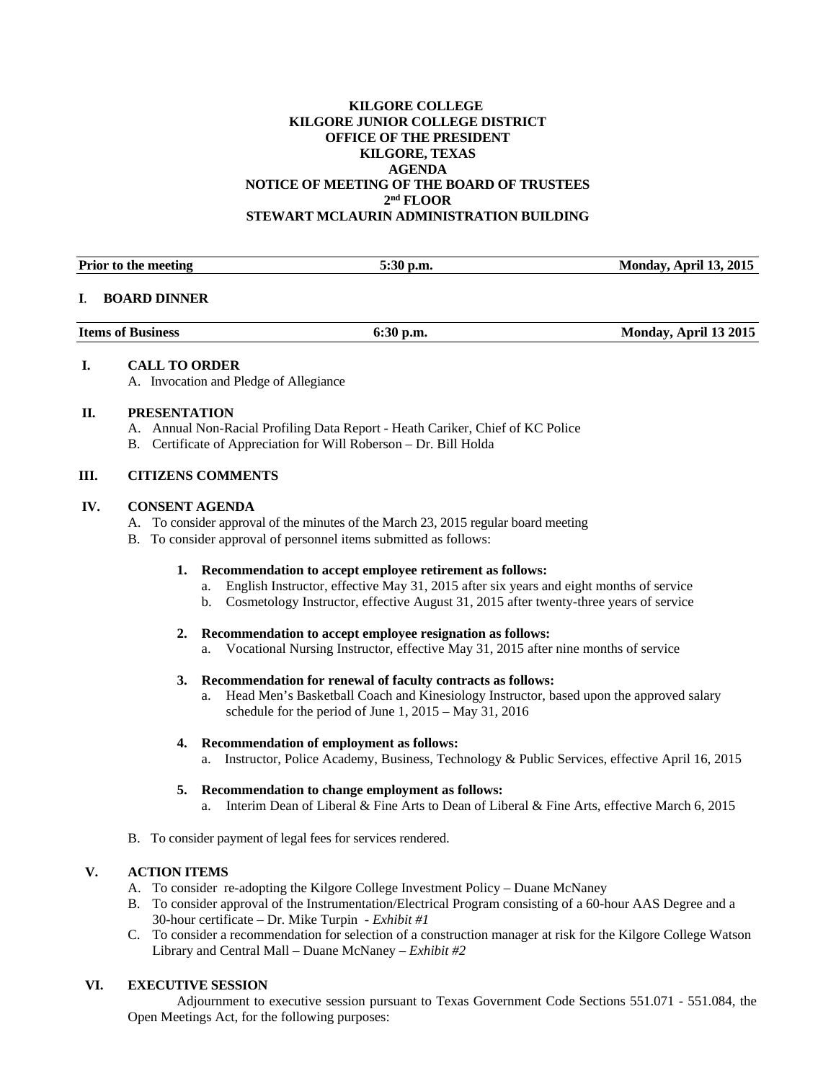# **KILGORE COLLEGE KILGORE JUNIOR COLLEGE DISTRICT OFFICE OF THE PRESIDENT KILGORE, TEXAS AGENDA NOTICE OF MEETING OF THE BOARD OF TRUSTEES 2nd FLOOR STEWART MCLAURIN ADMINISTRATION BUILDING**

| Prior to the meeting | $5:30$ p.m. | <b>Monday, April 13, 2015</b> |
|----------------------|-------------|-------------------------------|
|                      |             |                               |

#### **I**. **BOARD DINNER**

| <b>Items of Business</b><br>$6:30$ p.m. | Monday, April 13 2015 |
|-----------------------------------------|-----------------------|
|-----------------------------------------|-----------------------|

## **I. CALL TO ORDER**

A. Invocation and Pledge of Allegiance

# **II. PRESENTATION**

- A. Annual Non-Racial Profiling Data Report Heath Cariker, Chief of KC Police
- B. Certificate of Appreciation for Will Roberson Dr. Bill Holda

# **III. CITIZENS COMMENTS**

## **IV. CONSENT AGENDA**

- A. To consider approval of the minutes of the March 23, 2015 regular board meeting
- B. To consider approval of personnel items submitted as follows:

# **1. Recommendation to accept employee retirement as follows:**

- a. English Instructor, effective May 31, 2015 after six years and eight months of service
- b. Cosmetology Instructor, effective August 31, 2015 after twenty-three years of service

### **2. Recommendation to accept employee resignation as follows:**

a. Vocational Nursing Instructor, effective May 31, 2015 after nine months of service

### **3. Recommendation for renewal of faculty contracts as follows:**

a. Head Men's Basketball Coach and Kinesiology Instructor, based upon the approved salary schedule for the period of June 1, 2015 – May 31, 2016

# **4. Recommendation of employment as follows:**

a. Instructor, Police Academy, Business, Technology & Public Services, effective April 16, 2015

### **5. Recommendation to change employment as follows:** a. Interim Dean of Liberal & Fine Arts to Dean of Liberal & Fine Arts, effective March 6, 2015

B. To consider payment of legal fees for services rendered.

# **V. ACTION ITEMS**

- A. To consider re-adopting the Kilgore College Investment Policy Duane McNaney
- B. To consider approval of the Instrumentation/Electrical Program consisting of a 60-hour AAS Degree and a 30-hour certificate – Dr. Mike Turpin - *Exhibit #1*
- C. To consider a recommendation for selection of a construction manager at risk for the Kilgore College Watson Library and Central Mall – Duane McNaney – *Exhibit #2*

# **VI. EXECUTIVE SESSION**

Adjournment to executive session pursuant to Texas Government Code Sections 551.071 - 551.084, the Open Meetings Act, for the following purposes: